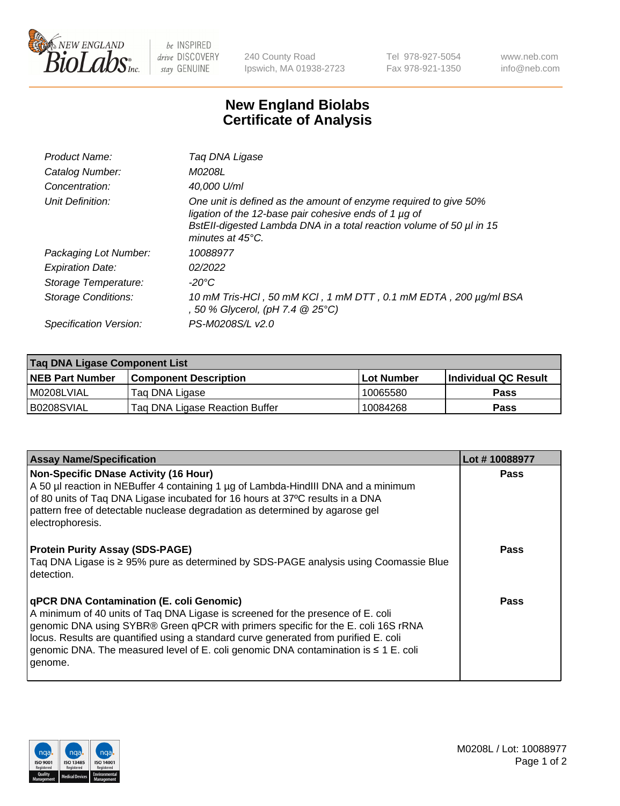

 $be$  INSPIRED drive DISCOVERY stay GENUINE

240 County Road Ipswich, MA 01938-2723 Tel 978-927-5054 Fax 978-921-1350 www.neb.com info@neb.com

## **New England Biolabs Certificate of Analysis**

| Product Name:              | Tag DNA Ligase                                                                                                                                                                                                                  |
|----------------------------|---------------------------------------------------------------------------------------------------------------------------------------------------------------------------------------------------------------------------------|
| Catalog Number:            | M0208L                                                                                                                                                                                                                          |
| Concentration:             | 40.000 U/ml                                                                                                                                                                                                                     |
| Unit Definition:           | One unit is defined as the amount of enzyme required to give 50%<br>ligation of the 12-base pair cohesive ends of 1 µg of<br>BstEll-digested Lambda DNA in a total reaction volume of 50 µl in 15<br>minutes at $45^{\circ}$ C. |
| Packaging Lot Number:      | 10088977                                                                                                                                                                                                                        |
| <b>Expiration Date:</b>    | 02/2022                                                                                                                                                                                                                         |
| Storage Temperature:       | $-20^{\circ}$ C                                                                                                                                                                                                                 |
| <b>Storage Conditions:</b> | 10 mM Tris-HCl, 50 mM KCl, 1 mM DTT, 0.1 mM EDTA, 200 µg/ml BSA<br>, 50 % Glycerol, (pH 7.4 $@25°C$ )                                                                                                                           |
| Specification Version:     | PS-M0208S/L v2.0                                                                                                                                                                                                                |

| Taq DNA Ligase Component List |                                |            |                      |  |
|-------------------------------|--------------------------------|------------|----------------------|--|
| <b>NEB Part Number</b>        | <b>Component Description</b>   | Lot Number | Individual QC Result |  |
| I M0208LVIAL                  | Tag DNA Ligase                 | 10065580   | <b>Pass</b>          |  |
| B0208SVIAL                    | Taq DNA Ligase Reaction Buffer | 10084268   | Pass                 |  |

| <b>Assay Name/Specification</b>                                                                                                                                                                                                                                                                                                                                                                                        | Lot #10088977 |
|------------------------------------------------------------------------------------------------------------------------------------------------------------------------------------------------------------------------------------------------------------------------------------------------------------------------------------------------------------------------------------------------------------------------|---------------|
| Non-Specific DNase Activity (16 Hour)<br>A 50 µl reaction in NEBuffer 4 containing 1 µg of Lambda-HindIII DNA and a minimum<br>of 80 units of Taq DNA Ligase incubated for 16 hours at 37°C results in a DNA<br>pattern free of detectable nuclease degradation as determined by agarose gel<br>electrophoresis.                                                                                                       | <b>Pass</b>   |
| <b>Protein Purity Assay (SDS-PAGE)</b><br>Taq DNA Ligase is ≥ 95% pure as determined by SDS-PAGE analysis using Coomassie Blue<br>detection.                                                                                                                                                                                                                                                                           | Pass          |
| <b>qPCR DNA Contamination (E. coli Genomic)</b><br>A minimum of 40 units of Tag DNA Ligase is screened for the presence of E. coli<br>genomic DNA using SYBR® Green qPCR with primers specific for the E. coli 16S rRNA<br>locus. Results are quantified using a standard curve generated from purified E. coli<br>genomic DNA. The measured level of E. coli genomic DNA contamination is $\leq 1$ E. coli<br>genome. | Pass          |